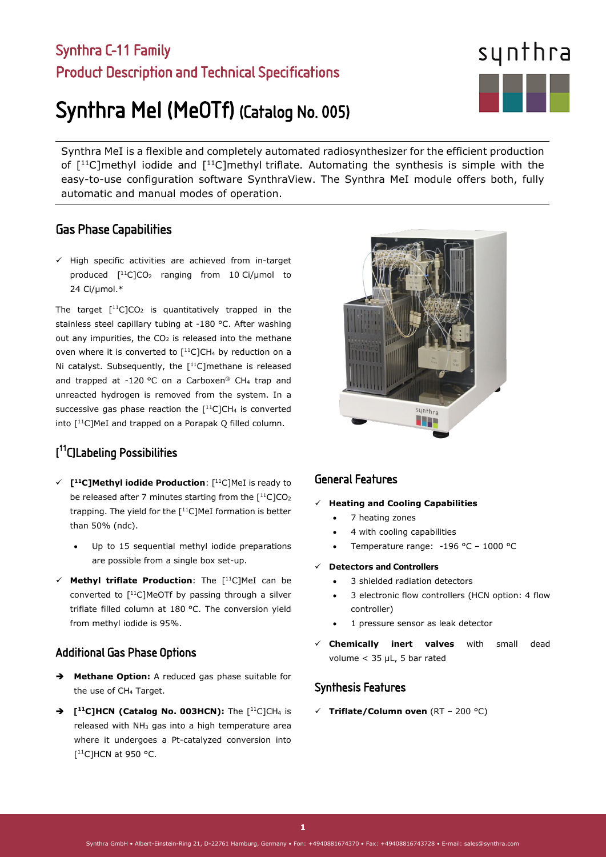### Synthra C-11 Family Product Description and Technical Specifications

# Synthra MeI (MeOTf) (Catalog No. 005)

Synthra MeI is a flexible and completely automated radiosynthesizer for the efficient production of  $[11C]$ methyl iodide and  $[11C]$ methyl triflate. Automating the synthesis is simple with the easy-to-use configuration software SynthraView. The Synthra MeI module offers both, fully automatic and manual modes of operation.

#### Gas Phase Capabilities

 $\checkmark$  High specific activities are achieved from in-target produced  $[$ <sup>11</sup>C $]$ CO<sub>2</sub> ranging from 10 Ci/µmol to 24 Ci/µmol.\*

The target  $[$ <sup>11</sup>C]CO<sub>2</sub> is quantitatively trapped in the stainless steel capillary tubing at -180 °C. After washing out any impurities, the  $CO<sub>2</sub>$  is released into the methane oven where it is converted to  $[$ <sup>11</sup>C]CH<sub>4</sub> by reduction on a Ni catalyst. Subsequently, the [<sup>11</sup>C]methane is released and trapped at -120 °C on a Carboxen® CH4 trap and unreacted hydrogen is removed from the system. In a successive gas phase reaction the  $[$ <sup>11</sup>C<sub>1</sub>CH<sub>4</sub> is converted into [11C]MeI and trapped on a Porapak Q filled column.

#### [ 11C]Labeling Possibilities

- **[11C]Methyl iodide Production**: [11C]MeI is ready to be released after 7 minutes starting from the  $[11C1CO<sub>2</sub>]$ trapping. The yield for the  $[$ <sup>11</sup>C]MeI formation is better than 50% (ndc).
	- Up to 15 sequential methyl iodide preparations are possible from a single box set-up.
- **Methyl triflate Production**: The [11C]MeI can be converted to [<sup>11</sup>C]MeOTf by passing through a silver triflate filled column at 180 °C. The conversion yield from methyl iodide is 95%.

#### Additional Gas Phase Options

- **Methane Option:** A reduced gas phase suitable for the use of CH4 Target.
- → **[<sup>11</sup>C]HCN (Catalog No. 003HCN):** The [<sup>11</sup>C]CH<sub>4</sub> is released with  $NH<sub>3</sub>$  gas into a high temperature area where it undergoes a Pt-catalyzed conversion into  $[$ <sup>11</sup>C]HCN at 950 °C.

#### General Features

#### **Heating and Cooling Capabilities**

- 7 heating zones
- 4 with cooling capabilities
- Temperature range: -196 °C 1000 °C
- **Detectors and Controllers**
	- 3 shielded radiation detectors
	- 3 electronic flow controllers (HCN option: 4 flow controller)
	- 1 pressure sensor as leak detector
- **Chemically inert valves** with small dead volume < 35 µL, 5 bar rated

#### Synthesis Features

**Triflate/Column oven** (RT – 200 °C)

# synthra **STEP**